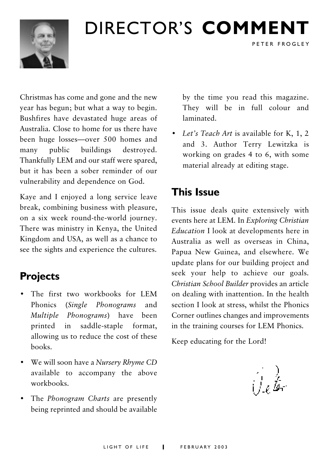

## DIRECTOR'S COMMENT

Christmas has come and gone and the new year has begun; but what a way to begin. Bushfires have devastated huge areas of Australia Close to home for us there have been huge losses—over 500 homes and public buildings many destroyed. Thankfully LEM and our staff were spared, but it has been a sober reminder of our vulnerability and dependence on God.

Kaye and I enjoyed a long service leave break, combining business with pleasure, on a six week round-the-world journey. There was ministry in Kenya, the United Kingdom and USA, as well as a chance to see the sights and experience the cultures.

## **Projects**

- The first two workbooks for LEM Phonics (Single Phonograms) and Multiple Phonograms) have been saddle-staple format, printed in allowing us to reduce the cost of these hooks
- We will soon have a Nursery Rhyme CD available to accompany the above workbooks
- The *Phonogram Charts* are presently being reprinted and should be available

by the time you read this magazine. They will be in full colour and laminated.

PETER FROGLEY

• Let's Teach Art is available for K, 1, 2 and 3. Author Terry Lewitzka is working on grades 4 to 6, with some material already at editing stage.

## **This Issue**

This issue deals quite extensively with events here at LEM. In Exploring Christian *Education* I look at developments here in Australia as well as overseas in China. Papua New Guinea, and elsewhere. We update plans for our building project and seek your help to achieve our goals. Christian School Builder provides an article on dealing with inattention. In the health section I look at stress, whilst the Phonics Corner outlines changes and improvements in the training courses for LEM Phonics.

Keep educating for the Lord!

سفُدارُ)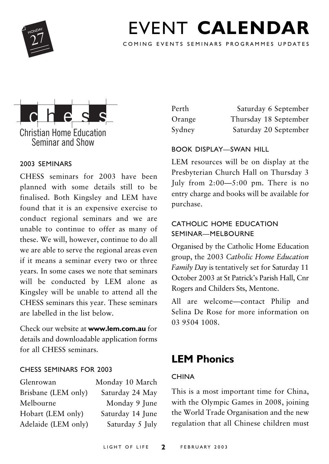

## FVENT CALENDAR

COMING EVENTS SEMINARS PROGRAMMES UPDATES



### 2003 SEMINARS

CHESS seminars for 2003 have been planned with some details still to be finalised. Both Kingsley and LEM have found that it is an expensive exercise to conduct regional seminars and we are unable to continue to offer as many of these. We will, however, continue to do all we are able to serve the regional areas even if it means a seminar every two or three years. In some cases we note that seminars will be conducted by LEM alone as Kingsley will be unable to attend all the CHESS seminars this year. These seminars are labelled in the list below

Check our website at www.lem.com.au for details and downloadable application forms for all CHESS seminars.

### CHESS SEMINARS FOR 2003

| Glenrowan           | Monday 10 March  |
|---------------------|------------------|
| Brisbane (LEM only) | Saturday 24 May  |
| Melbourne           | Monday 9 June    |
| Hobart (LEM only)   | Saturday 14 June |
| Adelaide (LEM only) | Saturday 5 July  |

| Perth  | Saturday 6 September  |
|--------|-----------------------|
| Orange | Thursday 18 September |
| Sydney | Saturday 20 September |

### **BOOK DISPLAY-SWAN HILL**

LEM resources will be on display at the Presbyterian Church Hall on Thursday 3 July from  $2:00 - 5:00$  pm. There is no entry charge and books will be available for purchase.

### CATHOLIC HOME EDUCATION SEMINAR-MELBOURNE

Organised by the Catholic Home Education group, the 2003 Catholic Home Education Family Day is tentatively set for Saturday 11 October 2003 at St Patrick's Parish Hall, Cnr Rogers and Childers Sts, Mentone.

All are welcome-contact Philip and Selina De Rose for more information on 03 9504 1008.

## **LEM Phonics**

### **CHINA**

This is a most important time for China, with the Olympic Games in 2008, joining the World Trade Organisation and the new regulation that all Chinese children must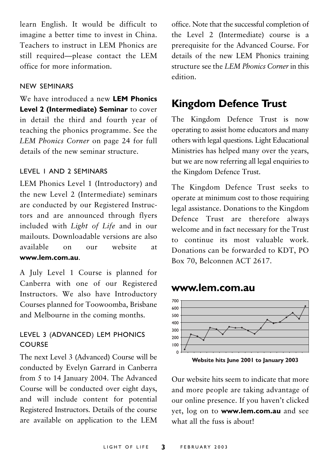learn English. It would be difficult to imagine a better time to invest in China. Teachers to instruct in LEM Phonics are still required-please contact the LEM office for more information.

### NEW SEMINARS

We have introduced a new LEM Phonics Level 2 (Intermediate) Seminar to cover in detail the third and fourth year of teaching the phonics programme. See the LEM Phonics Corner on page 24 for full details of the new seminar structure

#### LEVEL I AND 2 SEMINARS

LEM Phonics Level 1 (Introductory) and the new Level 2 (Intermediate) seminars are conducted by our Registered Instructors and are announced through flyers included with Light of Life and in our mailouts. Downloadable versions are also available website  $_{\text{OIII}}$  $\alpha$ n <sub>at</sub> www.lem.com.au

A July Level 1 Course is planned for Canberra with one of our Registered Instructors. We also have Introductory Courses planned for Toowoomba, Brisbane and Melbourne in the coming months.

### LEVEL 3 (ADVANCED) LEM PHONICS **COURSE**

The next Level 3 (Advanced) Course will be conducted by Evelyn Garrard in Canberra from 5 to 14 January 2004. The Advanced Course will be conducted over eight days, and will include content for potential Registered Instructors. Details of the course are available on application to the LEM office. Note that the successful completion of the Level 2 (Intermediate) course is a prerequisite for the Advanced Course. For details of the new LEM Phonics training structure see the LEM Phonics Corner in this edition

### **Kingdom Defence Trust**

The Kingdom Defence Trust is now operating to assist home educators and many others with legal questions. Light Educational Ministries has helped many over the years, but we are now referring all legal enquiries to the Kingdom Defence Trust.

The Kingdom Defence Trust seeks to operate at minimum cost to those requiring legal assistance. Donations to the Kingdom Defence Trust are therefore always welcome and in fact necessary for the Trust to continue its most valuable work. Donations can be forwarded to KDT, PO Box 70, Belconnen ACT 2617.

### www.lem.com.au



Website hits June 2001 to January 2003

Our website hits seem to indicate that more and more people are taking advantage of our online presence. If you haven't clicked vet, log on to **www.lem.com.au** and see what all the fuss is about!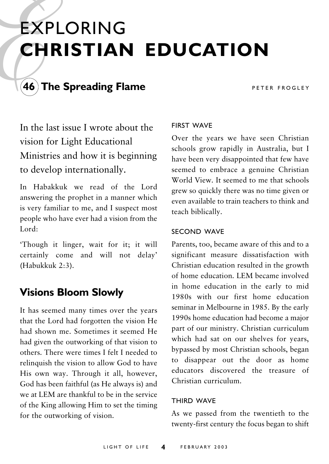## **EXPLORING CHRISTIAN EDUCATION**



### $\mathbf{\hat{A}}$ 6) The Spreading Flame

PETER FROGLEY

In the last issue I wrote about the vision for Light Educational Ministries and how it is beginning to develop internationally.

In Habakkuk we read of the Lord answering the prophet in a manner which is very familiar to me, and I suspect most people who have ever had a vision from the Lord $\cdot$ 

'Though it linger, wait for it; it will certainly come and will not delay' (Habukkuk 2:3).

## **Visions Bloom Slowly**

It has seemed many times over the years that the Lord had forgotten the vision He had shown me Sometimes it seemed He had given the outworking of that vision to others. There were times I felt I needed to relinguish the vision to allow God to have His own way. Through it all, however, God has been faithful (as He always is) and we at LEM are thankful to be in the service of the King allowing Him to set the timing for the outworking of vision.

### **FIRST WAVE**

Over the years we have seen Christian schools grow rapidly in Australia, but I have been very disappointed that few have seemed to embrace a genuine Christian World View. It seemed to me that schools grew so quickly there was no time given or even available to train teachers to think and teach biblically.

#### SECOND WAVE

Parents, too, became aware of this and to a significant measure dissatisfaction with Christian education resulted in the growth of home education LEM became involved in home education in the early to mid 1980s with our first home education seminar in Melbourne in 1985. By the early 1990s home education had become a major part of our ministry. Christian curriculum which had sat on our shelves for years. bypassed by most Christian schools, began to disappear out the door as home educators discovered the treasure of Christian curriculum

#### **THIRD WAVE**

As we passed from the twentieth to the twenty-first century the focus began to shift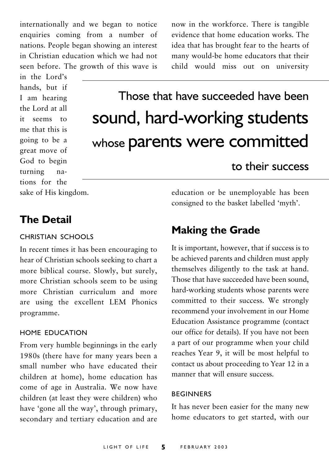internationally and we began to notice enquiries coming from a number of nations. People began showing an interest in Christian education which we had not seen before. The growth of this wave is

in the Lord's hands, but if I am hearing the Lord at all it seems to me that this is going to be a great move of God to begin turning nations for the now in the workforce. There is tangible evidence that home education works. The idea that has brought fear to the hearts of many would-be home educators that their child would miss out on university

## Those that have succeeded have been sound, hard-working students whose parents were committed

## to their success

sake of His kingdom.

## **The Detail**

### CHRISTIAN SCHOOLS

In recent times it has been encouraging to hear of Christian schools seeking to chart a more biblical course. Slowly, but surely, more Christian schools seem to be using more Christian curriculum and more are using the excellent LEM Phonics programme.

### HOME EDUCATION

From very humble beginnings in the early 1980s (there have for many years been a small number who have educated their children at home), home education has come of age in Australia. We now have children (at least they were children) who have 'gone all the way', through primary, secondary and tertiary education and are education or be unemployable has been consigned to the basket labelled 'myth'.

## **Making the Grade**

It is important, however, that if success is to be achieved parents and children must apply themselves diligently to the task at hand. Those that have succeeded have been sound, hard-working students whose parents were committed to their success. We strongly recommend your involvement in our Home Education Assistance programme (contact our office for details). If you have not been a part of our programme when your child reaches Year 9, it will be most helpful to contact us about proceeding to Year 12 in a manner that will ensure success.

### **REGINNERS**

It has never been easier for the many new home educators to get started, with our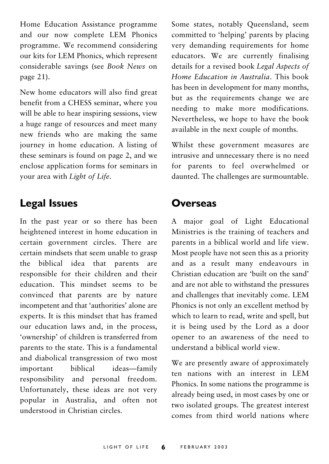Home Education Assistance programme and our now complete LEM Phonics programme. We recommend considering our kits for LEM Phonics, which represent considerable savings (see Book News on page 21).

New home educators will also find great benefit from a CHESS seminar, where you will be able to hear inspiring sessions, view a huge range of resources and meet many new friends who are making the same journey in home education. A listing of these seminars is found on page 2, and we enclose application forms for seminars in your area with Light of Life.

### **Legal Issues**

In the past year or so there has been heightened interest in home education in certain government circles. There are certain mindsets that seem unable to grasp the biblical idea that parents are responsible for their children and their education. This mindset seems to be convinced that parents are by nature incompetent and that 'authorities' alone are experts. It is this mindset that has framed our education laws and, in the process, 'ownership' of children is transferred from parents to the state. This is a fundamental and diabolical transgression of two most important hiblical ideas-family responsibility and personal freedom. Unfortunately, these ideas are not very popular in Australia, and often not understood in Christian circles

Some states, notably Queensland, seem committed to 'helping' parents by placing very demanding requirements for home educators. We are currently finalising details for a revised book Legal Aspects of Home Education in Australia. This book has been in development for many months, but as the requirements change we are needing to make more modifications. Nevertheless, we hope to have the book available in the next couple of months.

Whilst these government measures are intrusive and unnecessary there is no need for parents to feel overwhelmed or daunted. The challenges are surmountable.

### Overseas

A major goal of Light Educational Ministries is the training of teachers and parents in a biblical world and life view. Most people have not seen this as a priority and as a result many endeavours in Christian education are 'built on the sand' and are not able to withstand the pressures and challenges that inevitably come. LEM Phonics is not only an excellent method by which to learn to read, write and spell, but it is being used by the Lord as a door opener to an awareness of the need to understand a biblical world view.

We are presently aware of approximately ten nations with an interest in LEM Phonics. In some nations the programme is already being used, in most cases by one or two isolated groups. The greatest interest comes from third world nations where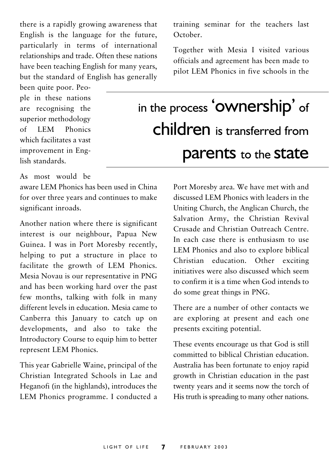there is a rapidly growing awareness that English is the language for the future, particularly in terms of international relationships and trade. Often these nations have been teaching English for many years, but the standard of English has generally

been quite poor. People in these nations are recognising the superior methodology  $of$  IFM Phonics which facilitates a vast improvement in English standards.

training seminar for the teachers last October.

Together with Mesia I visited various officials and agreement has been made to pilot LEM Phonics in five schools in the

## in the process 'OWNership' of children is transferred from **parents** to the **state**

As most would be

aware LEM Phonics has been used in China for over three years and continues to make significant inroads.

Another nation where there is significant interest is our neighbour, Papua New Guinea. I was in Port Moresby recently, helping to put a structure in place to facilitate the growth of LEM Phonics. Mesia Novau is our representative in PNG and has been working hard over the past few months, talking with folk in many different levels in education Mesia came to Canberra this January to catch up on developments, and also to take the Introductory Course to equip him to better represent LEM Phonics.

This year Gabrielle Waine, principal of the Christian Integrated Schools in Lae and Heganofi (in the highlands), introduces the LEM Phonics programme. I conducted a

Port Moresby area. We have met with and discussed LEM Phonics with leaders in the Uniting Church, the Anglican Church, the Salvation Army, the Christian Revival Crusade and Christian Outreach Centre In each case there is enthusiasm to use LEM Phonics and also to explore biblical Christian education. Other exciting initiatives were also discussed which seem to confirm it is a time when God intends to do some great things in PNG.

There are a number of other contacts we are exploring at present and each one presents exciting potential.

These events encourage us that God is still committed to biblical Christian education. Australia has been fortunate to enjoy rapid growth in Christian education in the past twenty years and it seems now the torch of His truth is spreading to many other nations.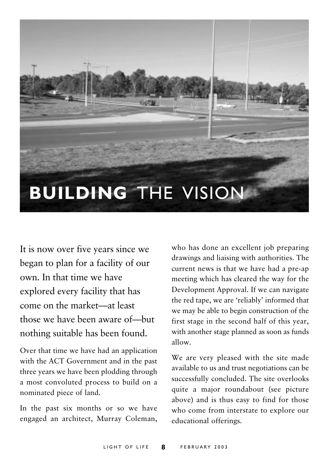

It is now over five years since we began to plan for a facility of our own. In that time we have explored every facility that has come on the market-at least those we have been aware of-but nothing suitable has been found.

Over that time we have had an application with the ACT Government and in the past three years we have been plodding through a most convoluted process to build on a nominated piece of land.

In the past six months or so we have engaged an architect, Murray Coleman, who has done an excellent job preparing drawings and liaising with authorities. The current news is that we have had a pre-ap meeting which has cleared the way for the Development Approval. If we can navigate the red tape, we are 'reliably' informed that we may be able to begin construction of the first stage in the second half of this year, with another stage planned as soon as funds  $\lambda$ 

We are very pleased with the site made available to us and trust negotiations can be successfully concluded. The site overlooks quite a major roundabout (see picture above) and is thus easy to find for those who come from interstate to explore our educational offerings.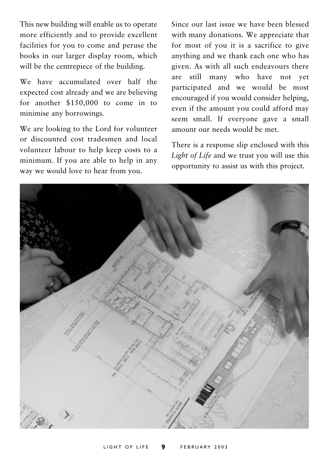This new building will enable us to operate more efficiently and to provide excellent facilities for you to come and peruse the books in our larger display room, which will be the centrepiece of the building.

We have accumulated over half the expected cost already and we are believing for another \$150,000 to come in to minimise any borrowings.

We are looking to the Lord for volunteer or discounted cost tradesmen and local volunteer labour to help keep costs to a minimum. If you are able to help in any way we would love to hear from you.

Since our last issue we have been blessed with many donations. We appreciate that for most of you it is a sacrifice to give anything and we thank each one who has given. As with all such endeavours there are still many who have not vet participated and we would be most encouraged if you would consider helping, even if the amount you could afford may seem small. If everyone gave a small amount our needs would be met.

There is a response slip enclosed with this Light of Life and we trust you will use this opportunity to assist us with this project.

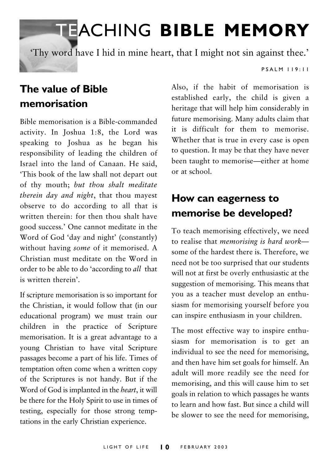# **TEACHING BIBLE MEMORY**

'Thy word have I hid in mine heart, that I might not sin against thee.'

### $P S A I M I I 9 \cdot I I$

## The value of Bible memorisation

Bible memorisation is a Bible-commanded activity. In Joshua 1:8, the Lord was speaking to Joshua as he began his responsibility of leading the children of Israel into the land of Canaan. He said. This book of the law shall not depart out of thy mouth; but thou shalt meditate therein day and night, that thou mayest observe to do according to all that is written therein: for then thou shalt have good success.' One cannot meditate in the Word of God 'day and night' (constantly) without having some of it memorised. A Christian must meditate on the Word in order to be able to do 'according to all that is written therein'.

If scripture memorisation is so important for the Christian, it would follow that (in our educational program) we must train our children in the practice of Scripture memorisation. It is a great advantage to a young Christian to have vital Scripture passages become a part of his life. Times of temptation often come when a written copy of the Scriptures is not handy. But if the Word of God is implanted in the heart, it will be there for the Holy Spirit to use in times of testing, especially for those strong temptations in the early Christian experience.

Also, if the habit of memorisation is established early, the child is given a heritage that will help him considerably in future memorising. Many adults claim that it is difficult for them to memorise. Whether that is true in every case is open to question. It may be that they have never been taught to memorise—either at home or at school.

## How can eagerness to memorise be developed?

To teach memorising effectively, we need to realise that memorising is hard worksome of the hardest there is. Therefore, we need not be too surprised that our students will not at first be overly enthusiastic at the suggestion of memorising. This means that you as a teacher must develop an enthusiasm for memorising yourself before you can inspire enthusiasm in your children.

The most effective way to inspire enthusiasm for memorisation is to get an individual to see the need for memorising. and then have him set goals for himself. An adult will more readily see the need for memorising, and this will cause him to set goals in relation to which passages he wants to learn and how fast. But since a child will be slower to see the need for memorising.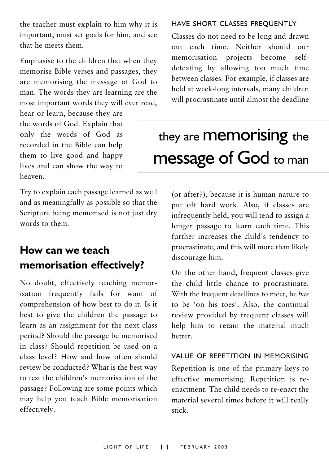the teacher must explain to him why it is important, must set goals for him, and see that he meets them.

Emphasise to the children that when they memorise Bible verses and passages, they are memorising the message of God to man. The words they are learning are the most important words they will ever read,

hear or learn, because they are the words of God. Explain that only the words of God as recorded in the Bible can help them to live good and happy lives and can show the way to heaven

Try to explain each passage learned as well and as meaningfully as possible so that the Scripture being memorised is not just dry words to them.

## How can we teach memorisation effectively?

No doubt, effectively teaching memorisation frequently fails for want of comprehension of how best to do it. Is it best to give the children the passage to learn as an assignment for the next class period? Should the passage be memorised in class? Should repetition be used on a class level? How and how often should review be conducted? What is the best way to test the children's memorisation of the passage? Following are some points which may help you teach Bible memorisation effectively.

### HAVE SHORT CLASSES FREOUENTLY

Classes do not need to be long and drawn out each time. Neither should our memorisation projects become selfdefeating by allowing too much time between classes. For example, if classes are held at week-long intervals, many children will procrastinate until almost the deadline

## they are **Memorising** the **message of God to man**

(or after?), because it is human nature to put off hard work. Also, if classes are infrequently held, you will tend to assign a longer passage to learn each time. This further increases the child's tendency to procrastinate, and this will more than likely discourage him.

On the other hand, frequent classes give the child little chance to procrastinate. With the frequent deadlines to meet, he has to be 'on his toes'. Also, the continual review provided by frequent classes will help him to retain the material much hetter

### VALUE OF REPETITION IN MEMORISING

Repetition is one of the primary keys to effective memorising. Repetition is reenactment. The child needs to re-enact the material several times before it will really stick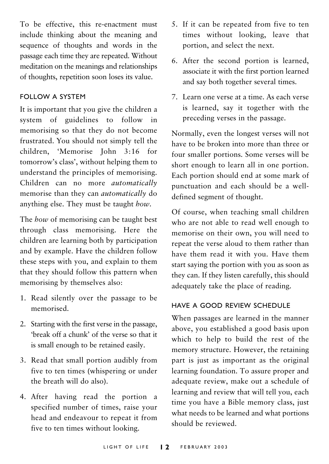To be effective, this re-enactment must include thinking about the meaning and sequence of thoughts and words in the passage each time they are repeated. Without meditation on the meanings and relationships of thoughts, repetition soon loses its value.

### **FOLLOW A SYSTEM**

It is important that you give the children a system of guidelines to follow in memorising so that they do not become frustrated. You should not simply tell the children, 'Memorise John 3:16 for tomorrow's class', without helping them to understand the principles of memorising. Children can no more automatically memorise than they can *automatically* do anything else. They must be taught how.

The how of memorising can be taught best through class memorising. Here the children are learning both by participation and by example. Have the children follow these steps with you, and explain to them that they should follow this pattern when memorising by themselves also:

- 1. Read silently over the passage to be memorised
- 2. Starting with the first verse in the passage, 'hreak off a chunk' of the verse so that it is small enough to be retained easily.
- 3. Read that small portion audibly from five to ten times (whispering or under the breath will do also).
- 4. After having read the portion a specified number of times, raise your head and endeavour to repeat it from five to ten times without looking.
- 5. If it can be repeated from five to ten times without looking, leave that portion, and select the next.
- 6. After the second portion is learned, associate it with the first portion learned and say both together several times.
- 7. Learn one verse at a time. As each verse is learned, say it together with the preceding verses in the passage.

Normally, even the longest verses will not have to be broken into more than three or four smaller portions. Some verses will be short enough to learn all in one portion. Each portion should end at some mark of punctuation and each should be a welldefined segment of thought.

Of course, when teaching small children who are not able to read well enough to memorise on their own, you will need to repeat the verse aloud to them rather than have them read it with you. Have them start saying the portion with you as soon as they can. If they listen carefully, this should adequately take the place of reading.

### HAVE A GOOD REVIEW SCHEDULE

When passages are learned in the manner above, you established a good basis upon which to help to build the rest of the memory structure. However, the retaining part is just as important as the original learning foundation. To assure proper and adequate review, make out a schedule of learning and review that will tell you, each time you have a Bible memory class, just what needs to be learned and what portions should be reviewed.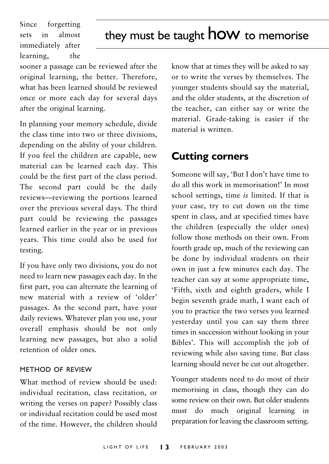Since forgetting sets  $\overline{\mathbf{m}}$ almost immediately after learning. the

## they must be taught **how** to memorise

sooner a passage can be reviewed after the original learning, the better. Therefore, what has been learned should be reviewed once or more each day for several days after the original learning.

In planning your memory schedule, divide the class time into two or three divisions. depending on the ability of your children. If you feel the children are capable, new material can be learned each day. This could be the first part of the class period. The second part could be the daily reviews-reviewing the portions learned over the previous several days. The third part could be reviewing the passages learned earlier in the year or in previous years. This time could also be used for testing.

If you have only two divisions, you do not need to learn new passages each day. In the first part, you can alternate the learning of new material with a review of 'older' passages. As the second part, have your daily reviews. Whatever plan you use, your overall emphasis should be not only learning new passages, but also a solid retention of older ones.

### METHOD OF REVIEW

What method of review should be used: individual recitation, class recitation, or writing the verses on paper? Possibly class or individual recitation could be used most of the time. However, the children should know that at times they will be asked to say or to write the verses by themselves. The younger students should say the material, and the older students, at the discretion of the teacher, can either say or write the material. Grade-taking is easier if the material is written

### **Cutting corners**

Someone will say, 'But I don't have time to do all this work in memorisation!' In most school settings, time is limited. If that is your case, try to cut down on the time spent in class, and at specified times have the children (especially the older ones) follow those methods on their own. From fourth grade up, much of the reviewing can be done by individual students on their own in just a few minutes each day. The teacher can say at some appropriate time, 'Fifth, sixth and eighth graders, while I begin seventh grade math, I want each of you to practice the two verses you learned yesterday until you can say them three times in succession without looking in your Bibles'. This will accomplish the job of reviewing while also saving time. But class learning should never be cut out altogether.

Younger students need to do most of their memorising in class, though they can do some review on their own. But older students must do much original learning in preparation for leaving the classroom setting.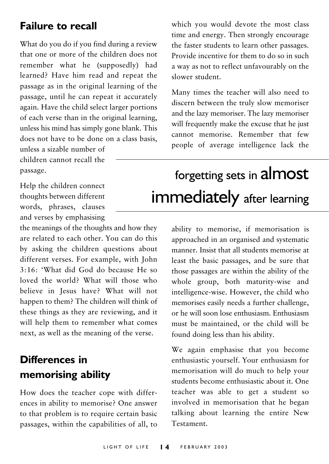## **Failure to recall**

What do you do if you find during a review that one or more of the children does not remember what he (supposedly) had learned? Have him read and repeat the passage as in the original learning of the passage, until he can repeat it accurately again. Have the child select larger portions of each verse than in the original learning. unless his mind has simply gone blank. This does not have to be done on a class hasis

unless a sizable number of children cannot recall the passage.

Help the children connect thoughts between different words, phrases, clauses and verses by emphasising

the meanings of the thoughts and how they are related to each other. You can do this by asking the children questions about different verses. For example, with John 3:16: 'What did God do because He so loved the world? What will those who believe in Jesus have? What will not happen to them? The children will think of these things as they are reviewing, and it will help them to remember what comes next, as well as the meaning of the verse.

## **Differences in** memorising ability

How does the teacher cope with differences in ability to memorise? One answer to that problem is to require certain basic passages, within the capabilities of all, to which you would devote the most class time and energy. Then strongly encourage the faster students to learn other passages. Provide incentive for them to do so in such a way as not to reflect unfavourably on the slower student

Many times the teacher will also need to discern between the truly slow memoriser and the lazy memoriser. The lazy memoriser will frequently make the excuse that he just cannot memorise Remember that few people of average intelligence lack the

## forgetting sets in almost immediately after learning

ability to memorise, if memorisation is approached in an organised and systematic manner. Insist that all students memorise at least the basic passages, and be sure that those passages are within the ability of the whole group, both maturity-wise and intelligence-wise. However, the child who memorises easily needs a further challenge. or he will soon lose enthusiasm. Enthusiasm must be maintained or the child will be found doing less than his ability.

We again emphasise that you become enthusiastic yourself. Your enthusiasm for memorisation will do much to help your students become enthusiastic about it. One teacher was able to get a student so involved in memorisation that he began talking about learning the entire New Testament.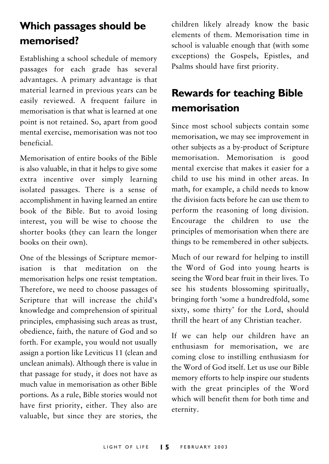## Which passages should be memorised?

Establishing a school schedule of memory passages for each grade has several advantages. A primary advantage is that material learned in previous years can be easily reviewed. A frequent failure in memorisation is that what is learned at one point is not retained. So, apart from good mental exercise, memorisation was not too heneficial

Memorisation of entire books of the Bible is also valuable, in that it helps to give some extra incentive over simply learning isolated passages. There is a sense of accomplishment in having learned an entire book of the Bible. But to avoid losing interest, you will be wise to choose the shorter books (they can learn the longer books on their own).

One of the blessings of Scripture memorisation is that meditation on the memorisation helps one resist temptation. Therefore, we need to choose passages of Scripture that will increase the child's knowledge and comprehension of spiritual principles, emphasising such areas as trust, obedience, faith, the nature of God and so forth. For example, you would not usually assign a portion like Leviticus 11 (clean and unclean animals). Although there is value in that passage for study, it does not have as much value in memorisation as other Bible portions. As a rule, Bible stories would not have first priority, either. They also are valuable, but since they are stories, the children likely already know the basic elements of them. Memorisation time in school is valuable enough that (with some exceptions) the Gospels, Epistles, and Psalms should have first priority.

## **Rewards for teaching Bible** memorisation

Since most school subjects contain some memorisation, we may see improvement in other subjects as a by-product of Scripture memorisation. Memorisation is good mental exercise that makes it easier for a child to use his mind in other areas. In math, for example, a child needs to know the division facts before he can use them to perform the reasoning of long division. Encourage the children to use the principles of memorisation when there are things to be remembered in other subjects.

Much of our reward for helping to instill the Word of God into young hearts is seeing the Word bear fruit in their lives. To see his students blossoming spiritually, bringing forth 'some a hundredfold, some sixty, some thirty' for the Lord, should thrill the heart of any Christian teacher.

If we can help our children have an enthusiasm for memorisation, we are coming close to instilling enthusiasm for the Word of God itself. Let us use our Bible memory efforts to help inspire our students with the great principles of the Word which will benefit them for both time and eternity.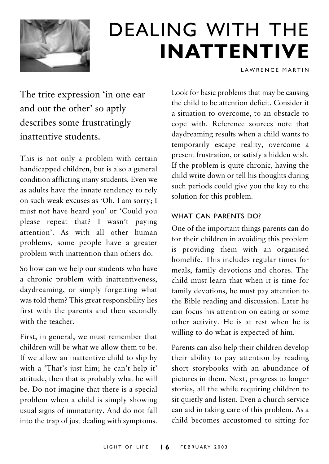

## **DEALING WITH THE INATTENTIVE**

LAWRENCE MARTIN

The trite expression 'in one ear and out the other' so aptly describes some frustratingly inattentive students.

This is not only a problem with certain handicapped children, but is also a general condition afflicting many students. Even we as adults have the innate tendency to rely on such weak excuses as 'Oh, I am sorry; I must not have heard you' or 'Could you please repeat that? I wasn't paying attention'. As with all other human problems, some people have a greater problem with inattention than others do.

So how can we help our students who have a chronic problem with inattentiveness, daydreaming, or simply forgetting what was told them? This great responsibility lies first with the parents and then secondly with the teacher

First, in general, we must remember that children will be what we allow them to be. If we allow an inattentive child to slip by with a 'That's just him; he can't help it' attitude, then that is probably what he will be. Do not imagine that there is a special problem when a child is simply showing usual signs of immaturity. And do not fall into the trap of just dealing with symptoms. Look for basic problems that may be causing the child to be attention deficit. Consider it a situation to overcome, to an obstacle to cope with. Reference sources note that davdreaming results when a child wants to temporarily escape reality, overcome a present frustration, or satisfy a hidden wish. If the problem is quite chronic, having the child write down or tell his thoughts during such periods could give you the key to the solution for this problem.

### **WHAT CAN PARENTS DO?**

One of the important things parents can do for their children in avoiding this problem is providing them with an organised homelife. This includes regular times for meals, family devotions and chores. The child must learn that when it is time for family devotions, he must pay attention to the Bible reading and discussion. Later he can focus his attention on eating or some other activity. He is at rest when he is willing to do what is expected of him.

Parents can also help their children develop their ability to pay attention by reading short storybooks with an abundance of pictures in them. Next, progress to longer stories, all the while requiring children to sit quietly and listen. Even a church service can aid in taking care of this problem. As a child becomes accustomed to sitting for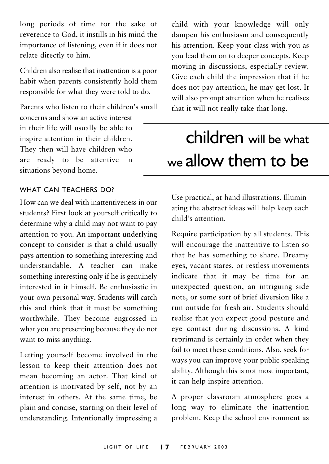long periods of time for the sake of reverence to God, it instills in his mind the importance of listening, even if it does not relate directly to him.

Children also realise that inattention is a poor habit when parents consistently hold them responsible for what they were told to do.

Parents who listen to their children's small concerns and show an active interest in their life will usually be able to inspire attention in their children. They then will have children who are ready to be attentive in situations beyond home.

### WHAT CAN TEACHERS DO?

How can we deal with inattentiveness in our students? First look at yourself critically to determine why a child may not want to pay attention to you. An important underlying concept to consider is that a child usually pays attention to something interesting and understandable. A teacher can make something interesting only if he is genuinely interested in it himself. Be enthusiastic in your own personal way. Students will catch this and think that it must be something worthwhile. They become engrossed in what you are presenting because they do not want to miss anything.

Letting yourself become involved in the lesson to keep their attention does not mean becoming an actor. That kind of attention is motivated by self, not by an interest in others. At the same time, be plain and concise, starting on their level of understanding. Intentionally impressing a

child with your knowledge will only dampen his enthusiasm and consequently his attention. Keep your class with you as you lead them on to deeper concepts. Keep moving in discussions, especially review. Give each child the impression that if he does not pay attention, he may get lost. It will also prompt attention when he realises that it will not really take that long.

## **children** will be what we allow them to be

Use practical, at-hand illustrations. Illuminating the abstract ideas will help keep each child's attention

Require participation by all students. This will encourage the inattentive to listen so that he has something to share. Dreamy eyes, vacant stares, or restless movements indicate that it may be time for an unexpected question, an intriguing side note, or some sort of brief diversion like a run outside for fresh air. Students should realise that you expect good posture and eye contact during discussions. A kind reprimand is certainly in order when they fail to meet these conditions. Also, seek for ways you can improve your public speaking ability. Although this is not most important, it can help inspire attention.

A proper classroom atmosphere goes a long way to eliminate the inattention problem. Keep the school environment as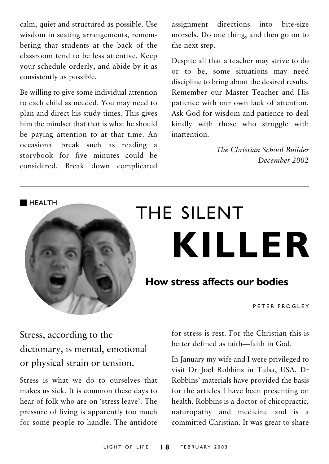calm, quiet and structured as possible. Use wisdom in seating arrangements, remembering that students at the back of the classroom tend to be less attentive. Keep your schedule orderly, and abide by it as consistently as possible.

Be willing to give some individual attention to each child as needed. You may need to plan and direct his study times. This gives him the mindset that that is what he should be paving attention to at that time. An occasional break such as reading a storybook for five minutes could be considered. Break down complicated assignment directions into bite-size morsels. Do one thing, and then go on to the next step.

Despite all that a teacher may strive to do or to be, some situations may need discipline to bring about the desired results. Remember our Master Teacher and His patience with our own lack of attention Ask God for wisdom and patience to deal kindly with those who struggle with inattention

> The Christian School Builder December 2002

HFAITH



# THE SILENT **KILLER**

### **How stress affects our bodies**

PETER FROGLEY

Stress, according to the dictionary, is mental, emotional or physical strain or tension.

Stress is what we do to ourselves that makes us sick. It is common these days to hear of folk who are on 'stress leave'. The pressure of living is apparently too much for some people to handle. The antidote

for stress is rest. For the Christian this is better defined as faith-faith in God

In January my wife and I were privileged to visit Dr Joel Robbins in Tulsa, USA. Dr Robbins' materials have provided the basis for the articles I have been presenting on health. Robbins is a doctor of chiropractic, naturopathy and medicine and is a committed Christian. It was great to share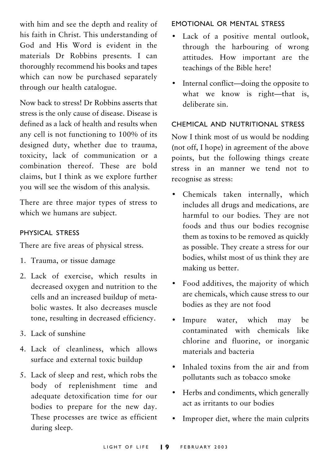with him and see the depth and reality of his faith in Christ. This understanding of God and His Word is evident in the materials Dr Robbins presents. I can thoroughly recommend his books and tapes which can now be purchased separately through our health catalogue.

Now hack to stress! Dr Robbins asserts that stress is the only cause of disease. Disease is defined as a lack of health and results when any cell is not functioning to 100% of its designed duty, whether due to trauma, toxicity, lack of communication or a combination thereof These are bold claims, but I think as we explore further you will see the wisdom of this analysis.

There are three major types of stress to which we humans are subject.

### PHYSICAL STRESS

There are five areas of physical stress.

- 1. Trauma, or tissue damage
- 2. Lack of exercise, which results in decreased oxygen and nutrition to the cells and an increased buildup of metabolic wastes. It also decreases muscle tone, resulting in decreased efficiency.
- 3 Lack of sunshine
- 4. Lack of cleanliness, which allows surface and external toxic buildup
- 5. Lack of sleep and rest, which robs the body of replenishment time and adequate detoxification time for our bodies to prepare for the new day. These processes are twice as efficient during sleep.

**FMOTIONAL OR MENTAL STRESS** 

- $\bullet$ Lack of a positive mental outlook. through the harbouring of wrong attitudes. How important are the teachings of the Bible here!
- Internal conflict—doing the opposite to  $\bullet$ what we know is right-that is, deliberate sin

#### CHEMICAL AND NUTRITIONAL STRESS

Now I think most of us would be nodding (not off, I hope) in agreement of the above points, but the following things create stress in an manner we tend not to recognise as stress:

- Chemicals taken internally, which  $\bullet$ includes all drugs and medications, are harmful to our bodies. They are not foods and thus our bodies recognise them as toxins to be removed as quickly as possible. They create a stress for our bodies, whilst most of us think they are making us better.
- Food additives, the majority of which are chemicals, which cause stress to our bodies as they are not food
- Impure water, which may <sub>be</sub> contaminated with chemicals like chlorine and fluorine, or inorganic materials and bacteria
- Inhaled toxins from the air and from pollutants such as tobacco smoke
- Herbs and condiments, which generally  $\bullet$ act as irritants to our bodies
- Improper diet, where the main culprits  $\bullet$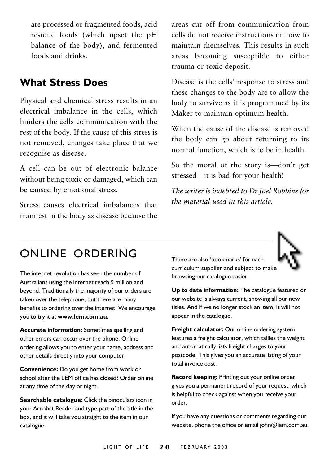are processed or fragmented foods, acid residue foods (which upset the pH balance of the body), and fermented foods and drinks.

## **What Stress Does**

Physical and chemical stress results in an electrical imbalance in the cells, which hinders the cells communication with the rest of the body. If the cause of this stress is not removed, changes take place that we recognise as disease.

A cell can be out of electronic balance without being toxic or damaged, which can be caused by emotional stress.

Stress causes electrical imbalances that manifest in the body as disease because the areas cut off from communication from cells do not receive instructions on how to maintain themselves. This results in such areas becoming susceptible to either trauma or toxic deposit.

Disease is the cells' response to stress and these changes to the body are to allow the body to survive as it is programmed by its Maker to maintain optimum health.

When the cause of the disease is removed the body can go about returning to its normal function, which is to be in health.

So the moral of the story is—don't get stressed—it is bad for your health!

The writer is indebted to Dr Joel Robbins for the material used in this article.

## ONLINE ORDERING

The internet revolution has seen the number of Australians using the internet reach 5 million and beyond. Traditionally the majority of our orders are taken over the telephone, but there are many benefits to ordering over the internet. We encourage you to try it at **www.lem.com.au.**

**Accurate information:** Sometimes spelling and other errors can occur over the phone. Online ordering allows you to enter your name, address and other details directly into your computer.

**Convenience:** Do you get home from work or school after the LEM office has closed? Order online at any time of the day or night.

**Searchable catalogue:** Click the binoculars icon in your Acrobat Reader and type part of the title in the box, and it will take you straight to the item in our catalogue.

There are also 'bookmarks' for each curriculum supplier and subject to make browsing our catalogue easier.

**Up to date information:** The catalogue featured on our website is always current, showing all our new titles. And if we no longer stock an item, it will not appear in the catalogue.

**Freight calculator:** Our online ordering system features a freight calculator, which tallies the weight and automatically lists freight charges to your postcode. This gives you an accurate listing of your total invoice cost.

**Record keeping:** Printing out your online order gives you a permanent record of your request, which is helpful to check against when you receive your order.

If you have any questions or comments regarding our website, phone the office or email john@lem.com.au.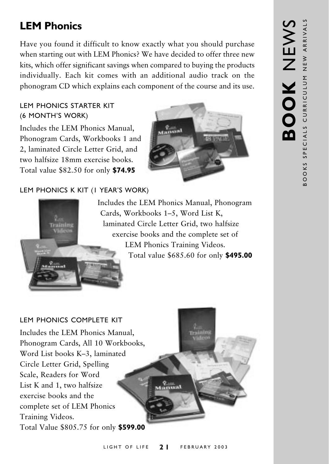## **LEM Phonics**

Have you found it difficult to know exactly what you should purchase when starting out with LEM Phonics? We have decided to offer three new kits, which offer significant savings when compared to buying the products individually. Each kit comes with an additional audio track on the phonogram CD which explains each component of the course and its use.

### **I FM PHONICS STARTER KIT** (6 MONTH'S WORK)

Includes the LEM Phonics Manual. Phonogram Cards, Workbooks 1 and 2, laminated Circle Letter Grid, and two halfsize 18mm exercise hooks Total value \$82.50 for only **\$74.95** 

### LEM PHONICS K KIT (I YEAR'S WORK)



Includes the LEM Phonics Manual, Phonogram Cards, Workbooks 1-5, Word List K, laminated Circle Letter Grid, two halfsize exercise books and the complete set of LEM Phonics Training Videos. Total value \$685.60 for only \$495.00

### LEM PHONICS COMPLETE KIT

Includes the LEM Phonics Manual. Phonogram Cards, All 10 Workbooks, Word List books K-3, laminated Circle Letter Grid, Spelling Scale, Readers for Word List K and 1, two halfsize exercise books and the complete set of LEM Phonics Training Videos. Total Value \$805.75 for only \$599.00

 $\frac{q_{\text{max}}}{q_{\text{max}}}$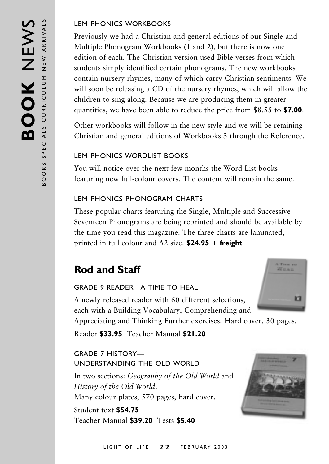### **I FM PHONICS WORKBOOKS**

Previously we had a Christian and general editions of our Single and Multiple Phonogram Workbooks (1 and 2), but there is now one edition of each. The Christian version used Bible verses from which students simply identified certain phonograms. The new workbooks contain nursery rhymes, many of which carry Christian sentiments. We will soon be releasing a CD of the nursery rhymes, which will allow the children to sing along. Because we are producing them in greater quantities, we have been able to reduce the price from \$8.55 to \$7.00.

Other workbooks will follow in the new style and we will be retaining Christian and general editions of Workbooks 3 through the Reference.

### LEM PHONICS WORDLIST BOOKS

You will notice over the next few months the Word List books featuring new full-colour covers. The content will remain the same.

### LEM PHONICS PHONOGRAM CHARTS

These popular charts featuring the Single, Multiple and Successive Seventeen Phonograms are being reprinted and should be available by the time you read this magazine. The three charts are laminated, printed in full colour and A2 size.  $$24.95 + freight$ 

## **Rod and Staff**

### **GRADE 9 READER-A TIME TO HEAL**

A newly released reader with 60 different selections, each with a Building Vocabulary, Comprehending and

A Time you **Weak** r

Appreciating and Thinking Further exercises. Hard cover, 30 pages.

Reader \$33.95 Teacher Manual \$21.20

### **GRADE 7 HISTORY-**UNDERSTANDING THE OLD WORLD

In two sections: Geography of the Old World and History of the Old World. Many colour plates, 570 pages, hard cover.

Student text \$54.75 Teacher Manual \$39.20 Tests \$5.40

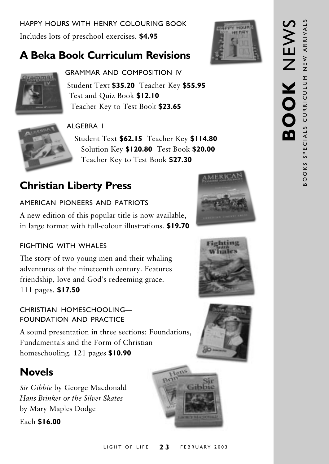HAPPY HOURS WITH HENRY COLOURING BOOK Includes lots of preschool exercises. \$4.95

## **A Beka Book Curriculum Revisions**





**GRAMMAR AND COMPOSITION IV** Student Text \$35.20 Teacher Key \$55.95 Test and Quiz Book \$12.10 Teacher Key to Test Book \$23.65

### AI GFRRA I

Student Text \$62.15 Teacher Key \$114.80 Solution Key \$120.80 Test Book \$20.00 Teacher Key to Test Book \$27.30

## **Christian Liberty Press**

### AMERICAN PIONEFRS AND PATRIOTS

A new edition of this popular title is now available, in large format with full-colour illustrations. \$19.70

### **FIGHTING WITH WHALES**

The story of two young men and their whaling adventures of the nineteenth century. Features friendship, love and God's redeeming grace. 111 pages. \$17.50

### CHRISTIAN HOMESCHOOLING-**FOUNDATION AND PRACTICE**

A sound presentation in three sections: Foundations, Fundamentals and the Form of Christian homeschooling. 121 pages \$10.90

## **Novels**

Sir Gibbie by George Macdonald Hans Brinker or the Silver Skates by Mary Maples Dodge

Each \$16.00









#### LIGHT OF LIFE  $23$ FEBRUARY 2003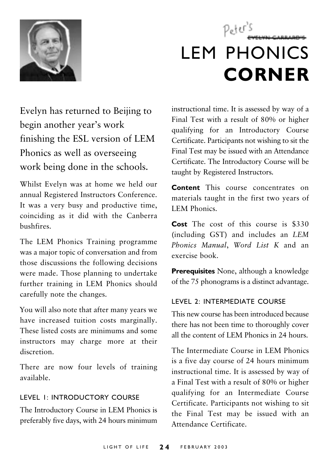

## Peter's **LEM PHONICS CORNER**

Evelyn has returned to Beijing to begin another year's work finishing the ESL version of LEM Phonics as well as overseeing work being done in the schools.

Whilst Evelyn was at home we held our annual Registered Instructors Conference. It was a very busy and productive time, coinciding as it did with the Canberra hushfires

The LEM Phonics Training programme was a major topic of conversation and from those discussions the following decisions were made. Those planning to undertake further training in LEM Phonics should carefully note the changes.

You will also note that after many years we have increased tuition costs marginally. These listed costs are minimums and some instructors may charge more at their discretion

There are now four levels of training available.

### LEVEL 1: INTRODUCTORY COURSE

The Introductory Course in LEM Phonics is preferably five days, with 24 hours minimum

instructional time. It is assessed by way of a Final Test with a result of 80% or higher qualifying for an Introductory Course Certificate. Participants not wishing to sit the Final Test may be issued with an Attendance Certificate. The Introductory Course will be taught by Registered Instructors.

Content This course concentrates on materials taught in the first two years of **LEM Phonics** 

Cost The cost of this course is \$330 (including GST) and includes an LEM Phonics Manual, Word List K and an exercise book.

**Prerequisites** None, although a knowledge of the 75 phonograms is a distinct advantage.

### LEVEL 2: INTERMEDIATE COURSE

This new course has been introduced because there has not been time to thoroughly cover all the content of LEM Phonics in 24 hours.

The Intermediate Course in LEM Phonics is a five day course of 24 hours minimum instructional time. It is assessed by way of a Final Test with a result of 80% or higher qualifying for an Intermediate Course Certificate. Participants not wishing to sit the Final Test may be issued with an Attendance Certificate.